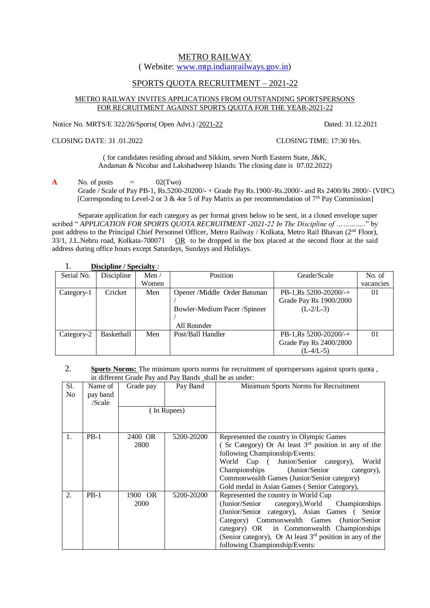# METRO RAILWAY

( Website: [www.mtp.indianrailways.gov.in\)](http://www.mtp.indianrailways.gov.in/)

# SPORTS QUOTA RECRUITMENT – 2021-22

## METRO RAILWAY INVITES APPLICATIONS FROM OUTSTANDING SPORTSPERSONS FOR RECRUITMENT AGAINST SPORTS QUOTA FOR THE YEAR-2021-22

Notice No. MRTS/E 322/26/Sports( Open Advt.) /2021-22 Dated: 31.12.2021

CLOSING DATE: 31 .01.2022 CLOSING TIME: 17:30 Hrs.

( for candidates residing abroad and Sikkim, seven North Eastern State, J&K, Andaman & Nicobar and Lakshadweep Islands: The closing date is 07.02.2022)

**A** No. of posts  $=$  02(Two)

Grade / Scale of Pay PB-1, Rs.5200-20200/- + Grade Pay Rs.1900/-Rs.2000/- and Rs 2400/Rs 2800/- (VIPC) [Corresponding to Level-2 or 3  $\&$  4or 5 of Pay Matrix as per recommendation of 7<sup>th</sup> Pay Commission]

Separate application for each category as per format given below to be sent, in a closed envelope super scribed " *APPLICATION FOR SPORTS QUOTA RECRUITMENT -2021-22 In The Discipline of ...*............" by post address to the Principal Chief Personnel Officer, Metro Railway / Kolkata, Metro Rail Bhavan (2<sup>nd</sup> Floor), 33/1, J.L.Nehru road, Kolkata-700071 OR to be dropped in the box placed at the second floor at the said address during office hours except Saturdays, Sundays and Holidays.

| <b>Discipline / Specialty:</b> |            |              |                              |                        |                |
|--------------------------------|------------|--------------|------------------------------|------------------------|----------------|
| Serial No.                     | Discipline | Men $\prime$ | Position                     | Geade/Scale            | No. of         |
|                                |            | Women        |                              |                        | vacancies      |
| Category-1                     | Cricket    | Men          | Opener /Middle Order Batsman | PB-1,Rs $5200-20200/+$ | 0 <sub>1</sub> |
|                                |            |              |                              | Grade Pay Rs 1900/2000 |                |
|                                |            |              | Bowler-Medium Pacer /Spinner | $(L-2/L-3)$            |                |
|                                |            |              |                              |                        |                |
|                                |            |              | All Rounder                  |                        |                |
| Category-2                     | Basketball | Men          | Post/Ball Handler            | PB-1,Rs 5200-20200/-+  | 0 <sub>1</sub> |
|                                |            |              |                              | Grade Pay Rs 2400/2800 |                |
|                                |            |              |                              | $(L-4/L-5)$            |                |

#### 2. **Sports Norms:** The minimum sports norms for recruitment of sportspersons against sports quota , in different Grade Pay and Pay Bands shall be as under:

| Sl.<br>N <sub>o</sub> | Name of<br>pay band<br>/Scale | Grade pay       | Pay Band<br>(In Rupees) | Minimum Sports Norms for Recruitment                                                                                                                                                                                                                                                                                                               |
|-----------------------|-------------------------------|-----------------|-------------------------|----------------------------------------------------------------------------------------------------------------------------------------------------------------------------------------------------------------------------------------------------------------------------------------------------------------------------------------------------|
|                       | $PB-1$                        | 2400 OR<br>2800 | 5200-20200              | Represented the country in Olympic Games<br>(Sr Category) Or At least $3rd$ position in any of the<br>following Championship/Events:<br>World Cup (<br>Junior/Senior category),<br>World<br>Championships (Junior/Senior)<br>category),<br>Commonwealth Games (Junior/Senior category)<br>Gold medal in Asian Games (Senior Category),             |
| 2.                    | $PB-1$                        | 1900 OR<br>2000 | 5200-20200              | Represented the country in World Cup<br>(Junior/Senior category), World Championships<br>(Junior/Senior category), Asian Games (<br>Senior<br>Category) Commonwealth Games (Junior/Senior<br>category) OR in Commonwealth Championships<br>(Senior category), Or At least 3 <sup>rd</sup> position in any of the<br>following Championship/Events: |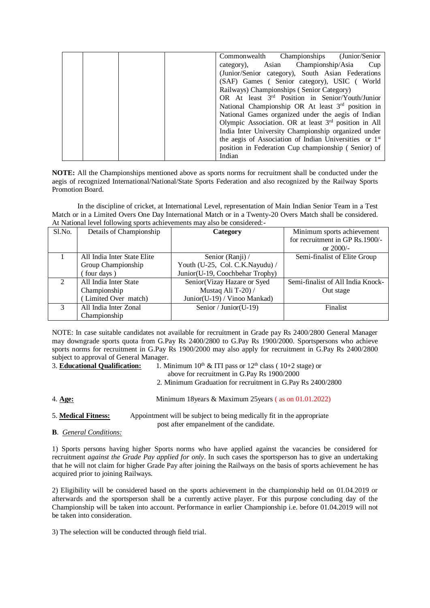| Commonwealth Championships (Junior/Senior)                         |
|--------------------------------------------------------------------|
| category), Asian Championship/Asia<br>Cup                          |
| (Junior/Senior category), South Asian Federations                  |
| (SAF) Games (Senior category), USIC (World                         |
| Railways) Championships (Senior Category)                          |
| OR At least 3 <sup>rd</sup> Position in Senior/Youth/Junior        |
| National Championship OR At least 3 <sup>rd</sup> position in      |
| National Games organized under the aegis of Indian                 |
| Olympic Association. OR at least 3 <sup>rd</sup> position in All   |
| India Inter University Championship organized under                |
| the aegis of Association of Indian Universities or 1 <sup>st</sup> |
| position in Federation Cup championship (Senior) of                |
| Indian                                                             |

**NOTE:** All the Championships mentioned above as sports norms for recruitment shall be conducted under the aegis of recognized International/National/State Sports Federation and also recognized by the Railway Sports Promotion Board.

 In the discipline of cricket, at International Level, representation of Main Indian Senior Team in a Test Match or in a Limited Overs One Day International Match or in a Twenty-20 Overs Match shall be considered. At National level following sports achievements may also be considered:-

| Sl.No.         | Details of Championship     | Category                        | Minimum sports achievement        |  |  |  |
|----------------|-----------------------------|---------------------------------|-----------------------------------|--|--|--|
|                |                             |                                 | for recruitment in GP Rs.1900/-   |  |  |  |
|                |                             |                                 | or $2000/-$                       |  |  |  |
|                | All India Inter State Elite | Senior (Ranji) /                | Semi-finalist of Elite Group      |  |  |  |
|                | Group Championship          | Youth (U-25, Col. C.K.Nayudu) / |                                   |  |  |  |
|                | four days)                  | Junior(U-19, Coochbehar Trophy) |                                   |  |  |  |
| $\mathfrak{D}$ | All India Inter State       | Senior(Vizay Hazare or Syed     | Semi-finalist of All India Knock- |  |  |  |
|                | Championship                | Mustaq Ali T-20) /              | Out stage                         |  |  |  |
|                | Limited Over match)         | Junior(U-19) / Vinoo Mankad)    |                                   |  |  |  |
| 3              | All India Inter Zonal       | Senior / Junior (U-19)          | Finalist                          |  |  |  |
|                | Championship                |                                 |                                   |  |  |  |

NOTE: In case suitable candidates not available for recruitment in Grade pay Rs 2400/2800 General Manager may downgrade sports quota from G.Pay Rs 2400/2800 to G.Pay Rs 1900/2000. Sportspersons who achieve sports norms for recruitment in G.Pay Rs 1900/2000 may also apply for recruitment in G.Pay Rs 2400/2800 subject to approval of General Manager.

- 
- 3. **Educational Qualification:** 1. Minimum 10<sup>th</sup> & ITI pass or 12<sup>th</sup> class (10+2 stage) or above for recruitment in G.Pay Rs 1900/2000
	- 2. Minimum Graduation for recruitment in G.Pay Rs 2400/2800
- 4. **Age:** Minimum 18years & Maximum 25years ( as on 01.01.2022)

5. **Medical Fitness:** Appointment will be subject to being medically fit in the appropriate post after empanelment of the candidate.

**B**. *General Conditions:*

1) Sports persons having higher Sports norms who have applied against the vacancies be considered for recruitment *against the Grade Pay applied for only*. In such cases the sportsperson has to give an undertaking that he will not claim for higher Grade Pay after joining the Railways on the basis of sports achievement he has acquired prior to joining Railways.

2) Eligibility will be considered based on the sports achievement in the championship held on 01.04.2019 or afterwards and the sportsperson shall be a currently active player. For this purpose concluding day of the Championship will be taken into account. Performance in earlier Championship i.e. before 01.04.2019 will not be taken into consideration.

3) The selection will be conducted through field trial.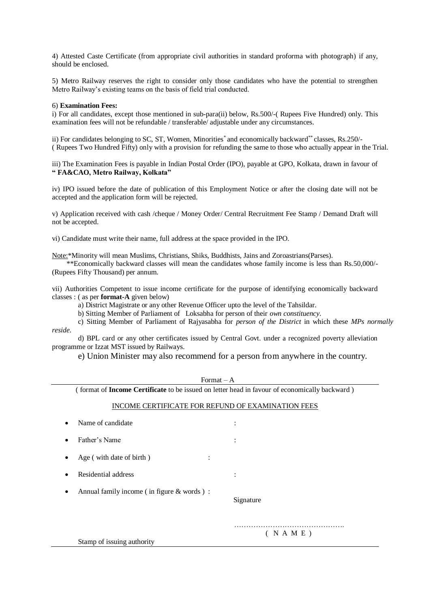4) Attested Caste Certificate (from appropriate civil authorities in standard proforma with photograph) if any, should be enclosed.

5) Metro Railway reserves the right to consider only those candidates who have the potential to strengthen Metro Railway's existing teams on the basis of field trial conducted.

#### 6) **Examination Fees:**

i) For all candidates, except those mentioned in sub-para(ii) below, Rs.500/-( Rupees Five Hundred) only. This examination fees will not be refundable / transferable/ adjustable under any circumstances.

ii) For candidates belonging to SC, ST, Women, Minorities<sup>\*</sup> and economically backward<sup>\*\*</sup> classes, Rs.250/-( Rupees Two Hundred Fifty) only with a provision for refunding the same to those who actually appear in the Trial.

iii) The Examination Fees is payable in Indian Postal Order (IPO), payable at GPO, Kolkata, drawn in favour of **" FA&CAO, Metro Railway, Kolkata"**

iv) IPO issued before the date of publication of this Employment Notice or after the closing date will not be accepted and the application form will be rejected.

v) Application received with cash /cheque / Money Order/ Central Recruitment Fee Stamp / Demand Draft will not be accepted.

vi) Candidate must write their name, full address at the space provided in the IPO.

Note:\*Minority will mean Muslims, Christians, Shiks, Buddhists, Jains and Zoroastrians(Parses).

\*\*Economically backward classes will mean the candidates whose family income is less than Rs.50,000/-(Rupees Fifty Thousand) per annum.

vii) Authorities Competent to issue income certificate for the purpose of identifying economically backward classes : ( as per **format-A** given below)

a) District Magistrate or any other Revenue Officer upto the level of the Tahsildar.

b) Sitting Member of Parliament of Loksabha for person of their *own constituency*.

c) Sitting Member of Parliament of Rajyasabha for *person of the District* in which these *MPs normally reside*.

d) BPL card or any other certificates issued by Central Govt. under a recognized poverty alleviation programme or Izzat MST issued by Railways.

e) Union Minister may also recommend for a person from anywhere in the country.

| Format $-A$                                                                                   |                |  |  |  |
|-----------------------------------------------------------------------------------------------|----------------|--|--|--|
| (format of Income Certificate to be issued on letter head in favour of economically backward) |                |  |  |  |
| INCOME CERTIFICATE FOR REFUND OF EXAMINATION FEES                                             |                |  |  |  |
| Name of candidate                                                                             | $\ddot{\cdot}$ |  |  |  |
| Father's Name                                                                                 |                |  |  |  |
| Age (with date of birth)                                                                      |                |  |  |  |
| Residential address                                                                           |                |  |  |  |
| Annual family income (in figure & words):<br>Signature                                        |                |  |  |  |
| ( N A M E )<br>Stamp of issuing authority                                                     |                |  |  |  |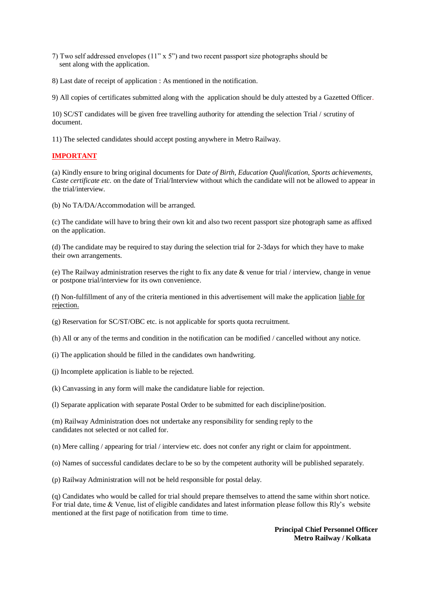- 7) Two self addressed envelopes (11" x 5") and two recent passport size photographs should be sent along with the application.
- 8) Last date of receipt of application : As mentioned in the notification.

9) All copies of certificates submitted along with the application should be duly attested by a Gazetted Officer.

10) SC/ST candidates will be given free travelling authority for attending the selection Trial / scrutiny of document.

11) The selected candidates should accept posting anywhere in Metro Railway.

## **IMPORTANT**

(a) Kindly ensure to bring original documents for D*ate of Birth, Education Qualification, Sports achievements, Caste certificate etc.* on the date of Trial/Interview without which the candidate will not be allowed to appear in the trial/interview.

(b) No TA/DA/Accommodation will be arranged.

(c) The candidate will have to bring their own kit and also two recent passport size photograph same as affixed on the application.

(d) The candidate may be required to stay during the selection trial for 2-3days for which they have to make their own arrangements.

(e) The Railway administration reserves the right to fix any date & venue for trial / interview, change in venue or postpone trial/interview for its own convenience.

(f) Non-fulfillment of any of the criteria mentioned in this advertisement will make the application liable for rejection.

(g) Reservation for SC/ST/OBC etc. is not applicable for sports quota recruitment.

- (h) All or any of the terms and condition in the notification can be modified / cancelled without any notice.
- (i) The application should be filled in the candidates own handwriting.
- (j) Incomplete application is liable to be rejected.
- (k) Canvassing in any form will make the candidature liable for rejection.

(l) Separate application with separate Postal Order to be submitted for each discipline/position.

(m) Railway Administration does not undertake any responsibility for sending reply to the candidates not selected or not called for.

(n) Mere calling / appearing for trial / interview etc. does not confer any right or claim for appointment.

(o) Names of successful candidates declare to be so by the competent authority will be published separately.

(p) Railway Administration will not be held responsible for postal delay.

(q) Candidates who would be called for trial should prepare themselves to attend the same within short notice. For trial date, time & Venue, list of eligible candidates and latest information please follow this Rly's website mentioned at the first page of notification from time to time.

> **Principal Chief Personnel Officer Metro Railway / Kolkata**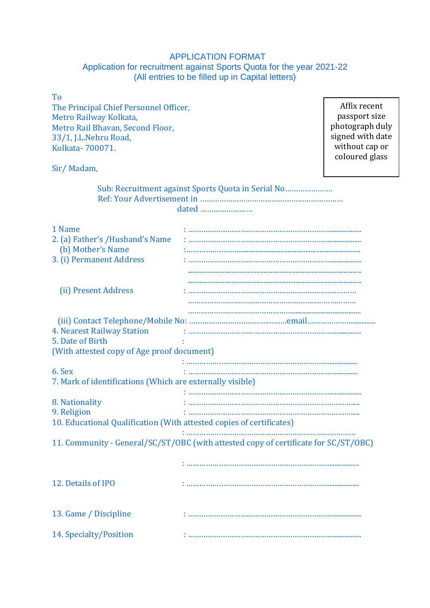# APPLICATION FORMAT Application for recruitment against Sports Quota for the year 2021-22 (All entries to be filled up in Capital letters)

| To                                                                   |                                                                                     |                  |
|----------------------------------------------------------------------|-------------------------------------------------------------------------------------|------------------|
|                                                                      | Affix recent                                                                        |                  |
| The Principal Chief Personnel Officer,                               | passport size                                                                       |                  |
| Metro Railway Kolkata,                                               |                                                                                     |                  |
| Metro Rail Bhavan, Second Floor,                                     |                                                                                     | photograph duly  |
| 33/1, J.L.Nehru Road,                                                |                                                                                     | signed with date |
| Kolkata-700071.                                                      |                                                                                     | without cap or   |
|                                                                      |                                                                                     | coloured glass   |
| Sir/Madam,                                                           |                                                                                     |                  |
|                                                                      | Sub: Recruitment against Sports Quota in Serial No                                  |                  |
|                                                                      |                                                                                     |                  |
|                                                                      | dated                                                                               |                  |
|                                                                      |                                                                                     |                  |
| 1 Name                                                               |                                                                                     |                  |
| 2. (a) Father's /Husband's Name                                      |                                                                                     |                  |
| (b) Mother's Name                                                    |                                                                                     |                  |
| 3. (i) Permanent Address                                             |                                                                                     |                  |
|                                                                      |                                                                                     |                  |
|                                                                      |                                                                                     |                  |
|                                                                      |                                                                                     |                  |
| (ii) Present Address                                                 |                                                                                     |                  |
|                                                                      |                                                                                     |                  |
|                                                                      |                                                                                     |                  |
|                                                                      |                                                                                     |                  |
| <b>4. Nearest Railway Station</b>                                    |                                                                                     |                  |
| 5. Date of Birth                                                     |                                                                                     |                  |
| (With attested copy of Age proof document)                           |                                                                                     |                  |
|                                                                      |                                                                                     |                  |
| 6. Sex                                                               |                                                                                     |                  |
| 7. Mark of identifications (Which are externally visible)            |                                                                                     |                  |
|                                                                      |                                                                                     |                  |
| 8. Nationality                                                       |                                                                                     |                  |
| 9. Religion                                                          |                                                                                     |                  |
| 10. Educational Qualification (With attested copies of certificates) |                                                                                     |                  |
|                                                                      |                                                                                     |                  |
|                                                                      | 11. Community - General/SC/ST/OBC (with attested copy of certificate for SC/ST/OBC) |                  |
|                                                                      |                                                                                     |                  |
|                                                                      |                                                                                     |                  |
|                                                                      |                                                                                     |                  |
| 12. Details of IPO                                                   |                                                                                     |                  |
|                                                                      |                                                                                     |                  |
|                                                                      |                                                                                     |                  |
| 13. Game / Discipline                                                |                                                                                     |                  |
|                                                                      |                                                                                     |                  |
|                                                                      |                                                                                     |                  |
| 14. Specialty/Position                                               |                                                                                     |                  |